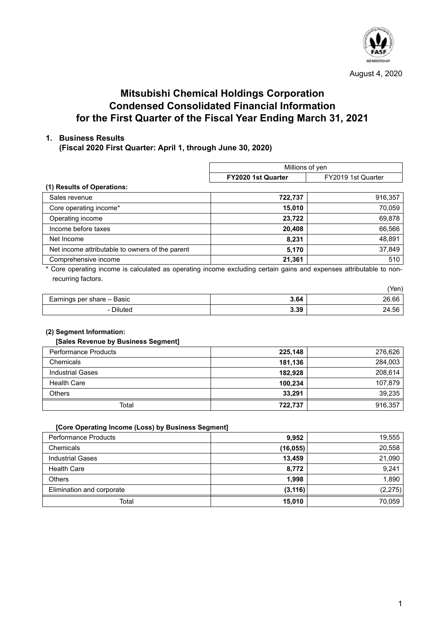

August 4, 2020

# **Mitsubishi Chemical Holdings Corporation Condensed Consolidated Financial Information for the First Quarter of the Fiscal Year Ending March 31, 2021**

# **1. Business Results**

**(Fiscal 2020 First Quarter: April 1, through June 30, 2020)** 

| Millions of yen    |                    |
|--------------------|--------------------|
| FY2020 1st Quarter | FY2019 1st Quarter |
|                    |                    |
| 722,737            | 916,357            |
| 15,010             | 70,059             |
| 23,722             | 69,878             |
| 20,408             | 66,566             |
| 8,231              | 48,891             |
| 5,170              | 37,849             |
| 21,361             | 510                |
|                    |                    |

Core operating income is calculated as operating income excluding certain gains and expenses attributable to nonrecurring factors.

|                            |      | (Yen) |
|----------------------------|------|-------|
| Earnings per share - Basic | 3.64 | 26.66 |
| - Diluted                  | 3.39 | 24.56 |

# **(2) Segment Information:**

#### **[Sales Revenue by Business Segment]**

| <b>Performance Products</b> | 225,148 | 276,626 |
|-----------------------------|---------|---------|
| Chemicals                   | 181,136 | 284,003 |
| <b>Industrial Gases</b>     | 182,928 | 208,614 |
| <b>Health Care</b>          | 100,234 | 107,879 |
| <b>Others</b>               | 33,291  | 39,235  |
| Total                       | 722,737 | 916,357 |

#### **[Core Operating Income (Loss) by Business Segment]**

| <b>Performance Products</b> | 9,952     | 19,555  |
|-----------------------------|-----------|---------|
| Chemicals                   | (16, 055) | 20,558  |
| <b>Industrial Gases</b>     | 13,459    | 21,090  |
| <b>Health Care</b>          | 8.772     | 9,241   |
| <b>Others</b>               | 1.998     | 1,890   |
| Elimination and corporate   | (3, 116)  | (2,275) |
| Total                       | 15,010    | 70,059  |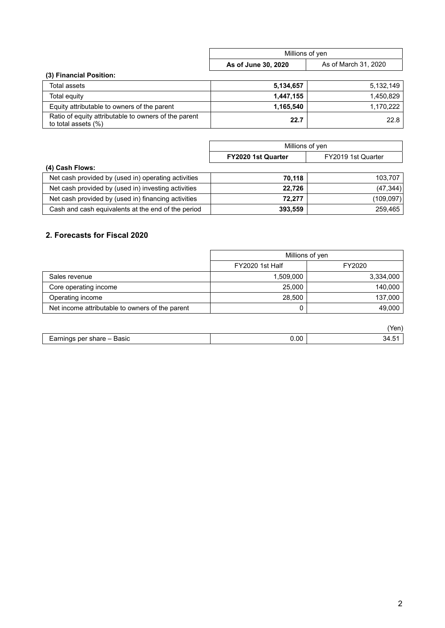|                                                                             | Millions of yen     |                      |
|-----------------------------------------------------------------------------|---------------------|----------------------|
|                                                                             | As of June 30, 2020 | As of March 31, 2020 |
| (3) Financial Position:                                                     |                     |                      |
| Total assets                                                                | 5,134,657           | 5.132.149            |
| Total equity                                                                | 1,447,155           | 1.450.829            |
| Equity attributable to owners of the parent                                 | 1,165,540           | 1,170,222            |
| Ratio of equity attributable to owners of the parent<br>to total assets (%) | 22.7                | 22.8                 |

|                                                     | Millions of yen    |                    |
|-----------------------------------------------------|--------------------|--------------------|
|                                                     | FY2020 1st Quarter | FY2019 1st Quarter |
| (4) Cash Flows:                                     |                    |                    |
| Net cash provided by (used in) operating activities | 70,118             | 103,707            |
| Net cash provided by (used in) investing activities | 22,726             | (47, 344)          |
| Net cash provided by (used in) financing activities | 72,277             | (109, 097)         |
| Cash and cash equivalents at the end of the period  | 393,559            | 259.465            |

# **2. Forecasts for Fiscal 2020**

|                                                 | Millions of yen |           |
|-------------------------------------------------|-----------------|-----------|
|                                                 | FY2020 1st Half | FY2020    |
| Sales revenue                                   | 1,509,000       | 3,334,000 |
| Core operating income                           | 25,000          | 140.000   |
| Operating income                                | 28,500          | 137,000   |
| Net income attributable to owners of the parent |                 | 49.000    |

|                                        |      | Van<br>∙ c⊓. |
|----------------------------------------|------|--------------|
| Earnings per share $-$ '<br>Basic<br>ີ | 0.00 | 34.5         |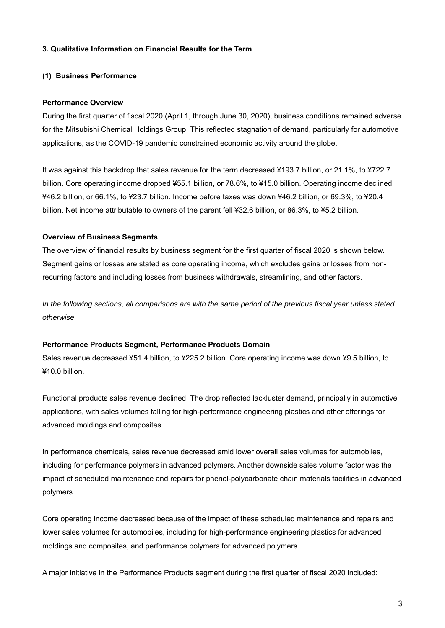### **3. Qualitative Information on Financial Results for the Term**

### **(1) Business Performance**

#### **Performance Overview**

During the first quarter of fiscal 2020 (April 1, through June 30, 2020), business conditions remained adverse for the Mitsubishi Chemical Holdings Group. This reflected stagnation of demand, particularly for automotive applications, as the COVID-19 pandemic constrained economic activity around the globe.

It was against this backdrop that sales revenue for the term decreased ¥193.7 billion, or 21.1%, to ¥722.7 billion. Core operating income dropped ¥55.1 billion, or 78.6%, to ¥15.0 billion. Operating income declined ¥46.2 billion, or 66.1%, to ¥23.7 billion. Income before taxes was down ¥46.2 billion, or 69.3%, to ¥20.4 billion. Net income attributable to owners of the parent fell ¥32.6 billion, or 86.3%, to ¥5.2 billion.

#### **Overview of Business Segments**

The overview of financial results by business segment for the first quarter of fiscal 2020 is shown below. Segment gains or losses are stated as core operating income, which excludes gains or losses from nonrecurring factors and including losses from business withdrawals, streamlining, and other factors.

*In the following sections, all comparisons are with the same period of the previous fiscal year unless stated otherwise.* 

#### **Performance Products Segment, Performance Products Domain**

Sales revenue decreased ¥51.4 billion, to ¥225.2 billion. Core operating income was down ¥9.5 billion, to ¥10.0 billion.

Functional products sales revenue declined. The drop reflected lackluster demand, principally in automotive applications, with sales volumes falling for high-performance engineering plastics and other offerings for advanced moldings and composites.

In performance chemicals, sales revenue decreased amid lower overall sales volumes for automobiles, including for performance polymers in advanced polymers. Another downside sales volume factor was the impact of scheduled maintenance and repairs for phenol-polycarbonate chain materials facilities in advanced polymers.

Core operating income decreased because of the impact of these scheduled maintenance and repairs and lower sales volumes for automobiles, including for high-performance engineering plastics for advanced moldings and composites, and performance polymers for advanced polymers.

A major initiative in the Performance Products segment during the first quarter of fiscal 2020 included: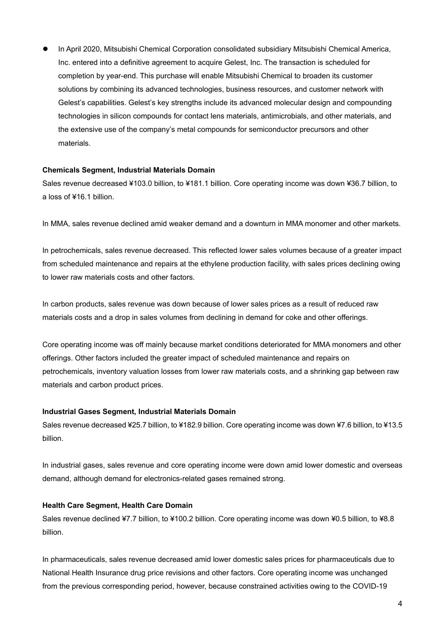In April 2020, Mitsubishi Chemical Corporation consolidated subsidiary Mitsubishi Chemical America, Inc. entered into a definitive agreement to acquire Gelest, Inc. The transaction is scheduled for completion by year-end. This purchase will enable Mitsubishi Chemical to broaden its customer solutions by combining its advanced technologies, business resources, and customer network with Gelest's capabilities. Gelest's key strengths include its advanced molecular design and compounding technologies in silicon compounds for contact lens materials, antimicrobials, and other materials, and the extensive use of the company's metal compounds for semiconductor precursors and other materials.

#### **Chemicals Segment, Industrial Materials Domain**

Sales revenue decreased ¥103.0 billion, to ¥181.1 billion. Core operating income was down ¥36.7 billion, to a loss of ¥16.1 billion.

In MMA, sales revenue declined amid weaker demand and a downturn in MMA monomer and other markets.

In petrochemicals, sales revenue decreased. This reflected lower sales volumes because of a greater impact from scheduled maintenance and repairs at the ethylene production facility, with sales prices declining owing to lower raw materials costs and other factors.

In carbon products, sales revenue was down because of lower sales prices as a result of reduced raw materials costs and a drop in sales volumes from declining in demand for coke and other offerings.

Core operating income was off mainly because market conditions deteriorated for MMA monomers and other offerings. Other factors included the greater impact of scheduled maintenance and repairs on petrochemicals, inventory valuation losses from lower raw materials costs, and a shrinking gap between raw materials and carbon product prices.

#### **Industrial Gases Segment, Industrial Materials Domain**

Sales revenue decreased ¥25.7 billion, to ¥182.9 billion. Core operating income was down ¥7.6 billion, to ¥13.5 billion.

In industrial gases, sales revenue and core operating income were down amid lower domestic and overseas demand, although demand for electronics-related gases remained strong.

### **Health Care Segment, Health Care Domain**

Sales revenue declined ¥7.7 billion, to ¥100.2 billion. Core operating income was down ¥0.5 billion, to ¥8.8 billion.

In pharmaceuticals, sales revenue decreased amid lower domestic sales prices for pharmaceuticals due to National Health Insurance drug price revisions and other factors. Core operating income was unchanged from the previous corresponding period, however, because constrained activities owing to the COVID-19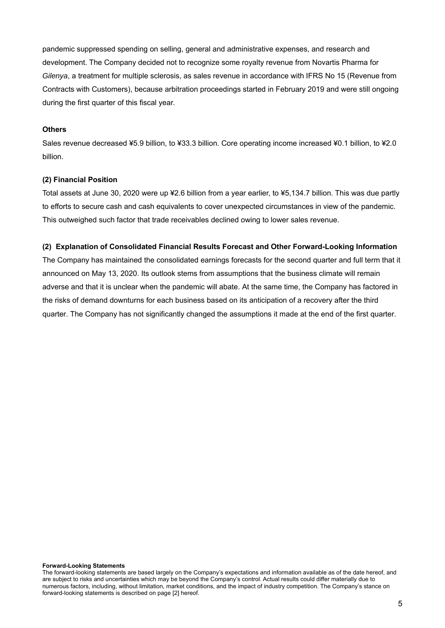pandemic suppressed spending on selling, general and administrative expenses, and research and development. The Company decided not to recognize some royalty revenue from Novartis Pharma for *Gilenya*, a treatment for multiple sclerosis, as sales revenue in accordance with IFRS No 15 (Revenue from Contracts with Customers), because arbitration proceedings started in February 2019 and were still ongoing during the first quarter of this fiscal year.

#### **Others**

Sales revenue decreased ¥5.9 billion, to ¥33.3 billion. Core operating income increased ¥0.1 billion, to ¥2.0 billion.

#### **(2) Financial Position**

Total assets at June 30, 2020 were up ¥2.6 billion from a year earlier, to ¥5,134.7 billion. This was due partly to efforts to secure cash and cash equivalents to cover unexpected circumstances in view of the pandemic. This outweighed such factor that trade receivables declined owing to lower sales revenue.

#### **(2) Explanation of Consolidated Financial Results Forecast and Other Forward-Looking Information**

The Company has maintained the consolidated earnings forecasts for the second quarter and full term that it announced on May 13, 2020. Its outlook stems from assumptions that the business climate will remain adverse and that it is unclear when the pandemic will abate. At the same time, the Company has factored in the risks of demand downturns for each business based on its anticipation of a recovery after the third quarter. The Company has not significantly changed the assumptions it made at the end of the first quarter.

#### **Forward-Looking Statements**

The forward-looking statements are based largely on the Company's expectations and information available as of the date hereof, and are subject to risks and uncertainties which may be beyond the Company's control. Actual results could differ materially due to numerous factors, including, without limitation, market conditions, and the impact of industry competition. The Company's stance on forward-looking statements is described on page [2] hereof.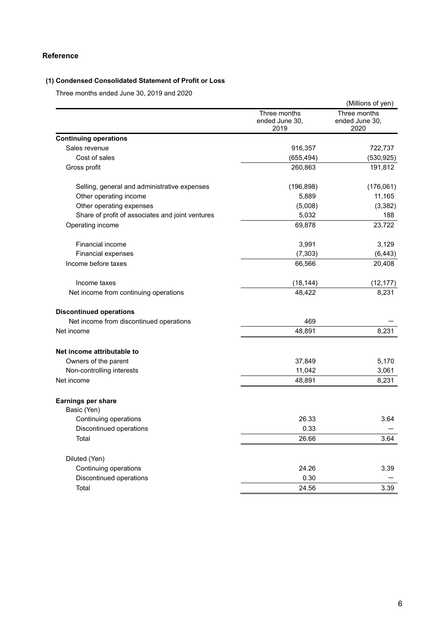# **Reference**

# **(1) Condensed Consolidated Statement of Profit or Loss**

Three months ended June 30, 2019 and 2020

|                                                  |                                        | (Millions of yen)                      |
|--------------------------------------------------|----------------------------------------|----------------------------------------|
|                                                  | Three months<br>ended June 30,<br>2019 | Three months<br>ended June 30,<br>2020 |
| <b>Continuing operations</b>                     |                                        |                                        |
| Sales revenue                                    | 916,357                                | 722,737                                |
| Cost of sales                                    | (655, 494)                             | (530, 925)                             |
| Gross profit                                     | 260,863                                | 191,812                                |
| Selling, general and administrative expenses     | (196, 898)                             | (176,061)                              |
| Other operating income                           | 5,889                                  | 11,165                                 |
| Other operating expenses                         | (5,008)                                | (3, 382)                               |
| Share of profit of associates and joint ventures | 5,032                                  | 188                                    |
| Operating income                                 | 69,878                                 | 23,722                                 |
| <b>Financial income</b>                          | 3,991                                  | 3,129                                  |
| Financial expenses                               | (7, 303)                               | (6, 443)                               |
| Income before taxes                              | 66,566                                 | 20,408                                 |
| Income taxes                                     | (18, 144)                              | (12, 177)                              |
| Net income from continuing operations            | 48,422                                 | 8,231                                  |
| <b>Discontinued operations</b>                   |                                        |                                        |
| Net income from discontinued operations          | 469                                    |                                        |
| Net income                                       | 48,891                                 | 8,231                                  |
| Net income attributable to                       |                                        |                                        |
| Owners of the parent                             | 37,849                                 | 5,170                                  |
| Non-controlling interests                        | 11,042                                 | 3,061                                  |
| Net income                                       | 48,891                                 | 8,231                                  |
| <b>Earnings per share</b>                        |                                        |                                        |
| Basic (Yen)                                      |                                        |                                        |
| Continuing operations                            | 26.33                                  | 3.64                                   |
| Discontinued operations                          | 0.33                                   |                                        |
| Total                                            | 26.66                                  | 3.64                                   |
| Diluted (Yen)                                    |                                        |                                        |
| Continuing operations                            | 24.26                                  | 3.39                                   |
| Discontinued operations                          | 0.30                                   |                                        |
| Total                                            | 24.56                                  | 3.39                                   |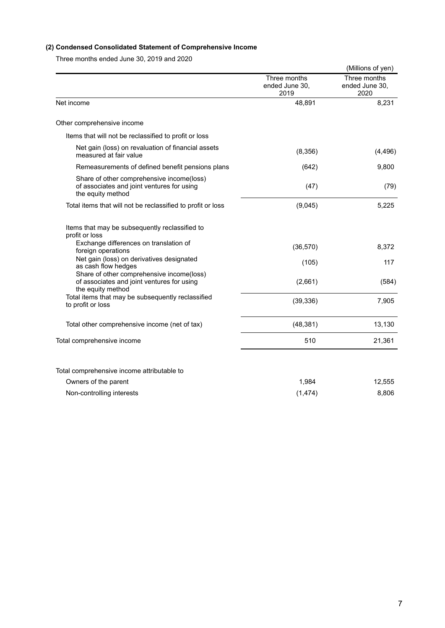# **(2) Condensed Consolidated Statement of Comprehensive Income**

Three months ended June 30, 2019 and 2020

|                                                                                                              |                                        | (Millions of yen)                      |
|--------------------------------------------------------------------------------------------------------------|----------------------------------------|----------------------------------------|
|                                                                                                              | Three months<br>ended June 30,<br>2019 | Three months<br>ended June 30,<br>2020 |
| Net income                                                                                                   | 48,891                                 | 8,231                                  |
| Other comprehensive income                                                                                   |                                        |                                        |
| Items that will not be reclassified to profit or loss                                                        |                                        |                                        |
| Net gain (loss) on revaluation of financial assets<br>measured at fair value                                 | (8,356)                                | (4, 496)                               |
| Remeasurements of defined benefit pensions plans                                                             | (642)                                  | 9,800                                  |
| Share of other comprehensive income(loss)<br>of associates and joint ventures for using<br>the equity method | (47)                                   | (79)                                   |
| Total items that will not be reclassified to profit or loss                                                  | (9,045)                                | 5,225                                  |
| Items that may be subsequently reclassified to<br>profit or loss                                             |                                        |                                        |
| Exchange differences on translation of<br>foreign operations                                                 | (36, 570)                              | 8,372                                  |
| Net gain (loss) on derivatives designated<br>as cash flow hedges                                             | (105)                                  | 117                                    |
| Share of other comprehensive income(loss)<br>of associates and joint ventures for using<br>the equity method | (2,661)                                | (584)                                  |
| Total items that may be subsequently reclassified<br>to profit or loss                                       | (39, 336)                              | 7,905                                  |
| Total other comprehensive income (net of tax)                                                                | (48, 381)                              | 13,130                                 |
| Total comprehensive income                                                                                   | 510                                    | 21,361                                 |
|                                                                                                              |                                        |                                        |
| Total comprehensive income attributable to                                                                   |                                        |                                        |
| Owners of the parent                                                                                         | 1,984                                  | 12,555                                 |
| Non-controlling interests                                                                                    | (1, 474)                               | 8,806                                  |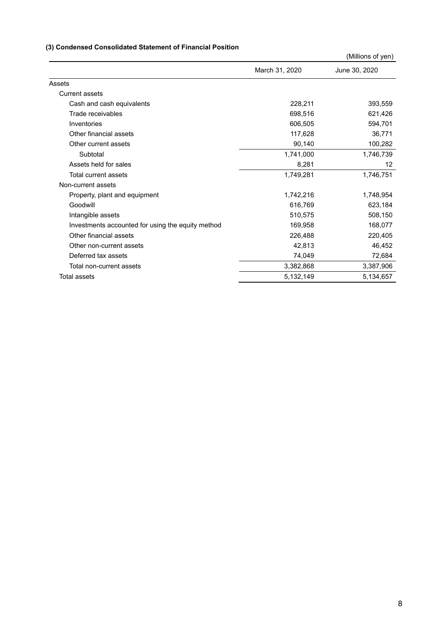# **(3) Condensed Consolidated Statement of Financial Position**

|                                                   |                | (Millions of yen) |
|---------------------------------------------------|----------------|-------------------|
|                                                   | March 31, 2020 | June 30, 2020     |
| Assets                                            |                |                   |
| <b>Current assets</b>                             |                |                   |
| Cash and cash equivalents                         | 228,211        | 393,559           |
| Trade receivables                                 | 698,516        | 621,426           |
| Inventories                                       | 606,505        | 594,701           |
| Other financial assets                            | 117,628        | 36,771            |
| Other current assets                              | 90,140         | 100,282           |
| Subtotal                                          | 1,741,000      | 1,746,739         |
| Assets held for sales                             | 8,281          | 12                |
| Total current assets                              | 1,749,281      | 1,746,751         |
| Non-current assets                                |                |                   |
| Property, plant and equipment                     | 1,742,216      | 1,748,954         |
| Goodwill                                          | 616,769        | 623,184           |
| Intangible assets                                 | 510,575        | 508,150           |
| Investments accounted for using the equity method | 169,958        | 168,077           |
| Other financial assets                            | 226,488        | 220,405           |
| Other non-current assets                          | 42,813         | 46,452            |
| Deferred tax assets                               | 74,049         | 72,684            |
| Total non-current assets                          | 3,382,868      | 3,387,906         |
| <b>Total assets</b>                               | 5,132,149      | 5,134,657         |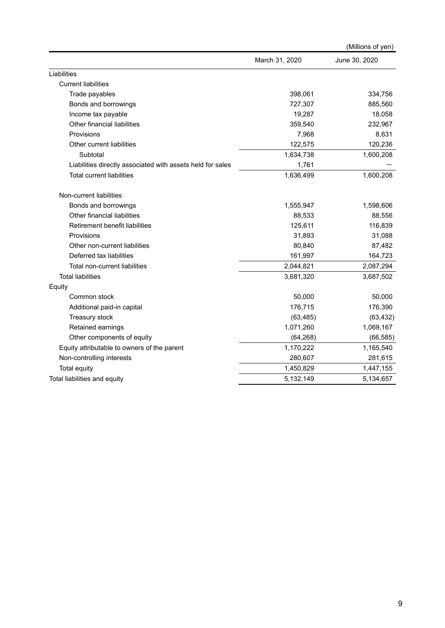|                                                            |                | (Millions of yen) |
|------------------------------------------------------------|----------------|-------------------|
|                                                            | March 31, 2020 | June 30, 2020     |
| Liabilities                                                |                |                   |
| <b>Current liabilities</b>                                 |                |                   |
| Trade payables                                             | 398,061        | 334,756           |
| Bonds and borrowings                                       | 727,307        | 885,560           |
| Income tax payable                                         | 19,287         | 18,058            |
| Other financial liabilities                                | 359,540        | 232,967           |
| Provisions                                                 | 7,968          | 8,631             |
| Other current liabilities                                  | 122,575        | 120,236           |
| Subtotal                                                   | 1,634,738      | 1,600,208         |
| Liabilities directly associated with assets held for sales | 1,761          |                   |
| <b>Total current liabilities</b>                           | 1,636,499      | 1,600,208         |
| Non-current liabilities                                    |                |                   |
| Bonds and borrowings                                       | 1,555,947      | 1,598,606         |
| Other financial liabilities                                | 88,533         | 88,556            |
| Retirement benefit liabilities                             | 125,611        | 116,839           |
| Provisions                                                 | 31,893         | 31,088            |
| Other non-current liabilities                              | 80,840         | 87,482            |
| Deferred tax liabilities                                   | 161,997        | 164,723           |
| Total non-current liabilities                              | 2,044,821      | 2,087,294         |
| <b>Total liabilities</b>                                   | 3,681,320      | 3,687,502         |
| Equity                                                     |                |                   |
| Common stock                                               | 50,000         | 50,000            |
| Additional paid-in capital                                 | 176,715        | 176,390           |
| Treasury stock                                             | (63, 485)      | (63, 432)         |
| Retained earnings                                          | 1,071,260      | 1,069,167         |
| Other components of equity                                 | (64, 268)      | (66, 585)         |
| Equity attributable to owners of the parent                | 1,170,222      | 1,165,540         |
| Non-controlling interests                                  | 280,607        | 281,615           |
| <b>Total equity</b>                                        | 1,450,829      | 1,447,155         |
| Total liabilities and equity                               | 5,132,149      | 5,134,657         |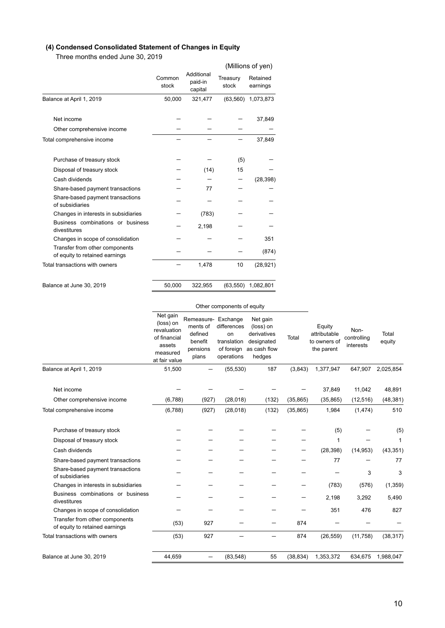# **(4) Condensed Consolidated Statement of Changes in Equity**

Three months ended June 30, 2019

|                                                                  |                 |                                  |                   | (Millions of yen)    |
|------------------------------------------------------------------|-----------------|----------------------------------|-------------------|----------------------|
|                                                                  | Common<br>stock | Additional<br>paid-in<br>capital | Treasury<br>stock | Retained<br>earnings |
| Balance at April 1, 2019                                         | 50,000          | 321,477                          | (63, 560)         | 1,073,873            |
| Net income                                                       |                 |                                  |                   | 37,849               |
| Other comprehensive income                                       |                 |                                  |                   |                      |
| Total comprehensive income                                       |                 |                                  |                   | 37,849               |
| Purchase of treasury stock                                       |                 |                                  | (5)               |                      |
| Disposal of treasury stock                                       |                 | (14)                             | 15                |                      |
| Cash dividends                                                   |                 |                                  |                   | (28, 398)            |
| Share-based payment transactions                                 |                 | 77                               |                   |                      |
| Share-based payment transactions<br>of subsidiaries              |                 |                                  |                   |                      |
| Changes in interests in subsidiaries                             |                 | (783)                            |                   |                      |
| Business combinations or business<br>divestitures                |                 | 2,198                            |                   |                      |
| Changes in scope of consolidation                                |                 |                                  |                   | 351                  |
| Transfer from other components<br>of equity to retained earnings |                 |                                  |                   | (874)                |
| Total transactions with owners                                   |                 | 1,478                            | 10                | (28, 921)            |
| Balance at June 30, 2019                                         | 50,000          | 322,955                          | (63, 550)         | 1,082,801            |

|                                                                  | Other components of equity                                                                  |                                                                   |                                                                          |                                                                              |           |                                                      |                                  |                     |
|------------------------------------------------------------------|---------------------------------------------------------------------------------------------|-------------------------------------------------------------------|--------------------------------------------------------------------------|------------------------------------------------------------------------------|-----------|------------------------------------------------------|----------------------------------|---------------------|
|                                                                  | Net gain<br>(loss) on<br>revaluation<br>of financial<br>assets<br>measured<br>at fair value | Remeasure-<br>ments of<br>defined<br>benefit<br>pensions<br>plans | Exchange<br>differences<br>on<br>translation<br>of foreign<br>operations | Net gain<br>(loss) on<br>derivatives<br>designated<br>as cash flow<br>hedges | Total     | Equity<br>attributable<br>to owners of<br>the parent | Non-<br>controlling<br>interests | Total<br>equity     |
| Balance at April 1, 2019                                         | 51,500                                                                                      |                                                                   | (55, 530)                                                                | 187                                                                          | (3,843)   | 1,377,947                                            | 647,907                          | 2,025,854           |
| Net income<br>Other comprehensive income                         | (6,788)                                                                                     | (927)                                                             | (28, 018)                                                                | (132)                                                                        | (35, 865) | 37,849<br>(35, 865)                                  | 11,042<br>(12, 516)              | 48,891<br>(48, 381) |
| Total comprehensive income                                       | (6,788)                                                                                     | (927)                                                             | (28,018)                                                                 | (132)                                                                        | (35, 865) | 1,984                                                | (1, 474)                         | 510                 |
| Purchase of treasury stock<br>Disposal of treasury stock         |                                                                                             |                                                                   |                                                                          |                                                                              |           | (5)<br>1                                             |                                  | (5)<br>1            |
| Cash dividends<br>Share-based payment transactions               |                                                                                             |                                                                   |                                                                          |                                                                              |           | (28, 398)<br>77                                      | (14, 953)                        | (43, 351)<br>77     |
| Share-based payment transactions<br>of subsidiaries              |                                                                                             |                                                                   |                                                                          |                                                                              |           |                                                      | 3                                | 3                   |
| Changes in interests in subsidiaries                             |                                                                                             |                                                                   |                                                                          |                                                                              |           | (783)                                                | (576)                            | (1, 359)            |
| Business combinations or business<br>divestitures                |                                                                                             |                                                                   |                                                                          |                                                                              | -         | 2.198                                                | 3,292                            | 5,490               |
| Changes in scope of consolidation                                |                                                                                             |                                                                   |                                                                          |                                                                              |           | 351                                                  | 476                              | 827                 |
| Transfer from other components<br>of equity to retained earnings | (53)                                                                                        | 927                                                               |                                                                          |                                                                              | 874       |                                                      |                                  |                     |
| Total transactions with owners                                   | (53)                                                                                        | 927                                                               |                                                                          |                                                                              | 874       | (26, 559)                                            | (11, 758)                        | (38, 317)           |
| Balance at June 30, 2019                                         | 44,659                                                                                      |                                                                   | (83, 548)                                                                | 55                                                                           | (38, 834) | 1,353,372                                            | 634,675                          | 1,988,047           |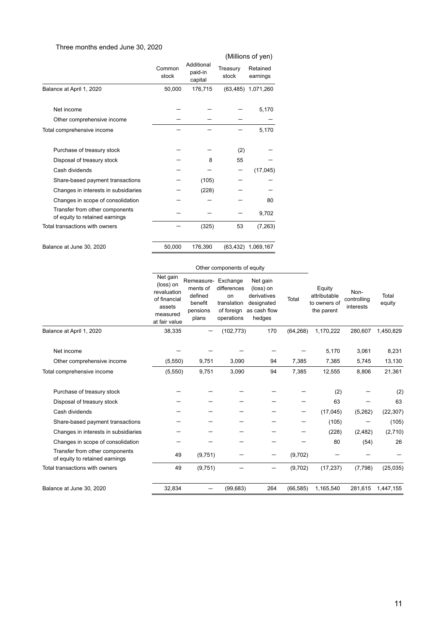# Three months ended June 30, 2020

|                                                                  |                 |                                  |                   | (Millions of yen)    |
|------------------------------------------------------------------|-----------------|----------------------------------|-------------------|----------------------|
|                                                                  | Common<br>stock | Additional<br>paid-in<br>capital | Treasury<br>stock | Retained<br>earnings |
| Balance at April 1, 2020                                         | 50,000          | 176,715                          |                   | (63,485) 1,071,260   |
| Net income                                                       |                 |                                  |                   | 5,170                |
| Other comprehensive income                                       |                 |                                  |                   |                      |
| Total comprehensive income                                       |                 |                                  |                   | 5,170                |
| Purchase of treasury stock                                       |                 |                                  | (2)               |                      |
| Disposal of treasury stock                                       |                 | 8                                | 55                |                      |
| Cash dividends                                                   |                 |                                  |                   | (17, 045)            |
| Share-based payment transactions                                 |                 | (105)                            |                   |                      |
| Changes in interests in subsidiaries                             |                 | (228)                            |                   |                      |
| Changes in scope of consolidation                                |                 |                                  |                   | 80                   |
| Transfer from other components<br>of equity to retained earnings |                 |                                  |                   | 9,702                |
| Total transactions with owners                                   |                 | (325)                            | 53                | (7, 263)             |
| Balance at June 30, 2020                                         | 50,000          | 176,390                          |                   | (63,432) 1,069,167   |

|                                                                  | Other components of equity                                                                  |                                                                   |                                                                          |                                                                              |           |                                                      |                                  |                 |
|------------------------------------------------------------------|---------------------------------------------------------------------------------------------|-------------------------------------------------------------------|--------------------------------------------------------------------------|------------------------------------------------------------------------------|-----------|------------------------------------------------------|----------------------------------|-----------------|
|                                                                  | Net gain<br>(loss) on<br>revaluation<br>of financial<br>assets<br>measured<br>at fair value | Remeasure-<br>ments of<br>defined<br>benefit<br>pensions<br>plans | Exchange<br>differences<br>on<br>translation<br>of foreign<br>operations | Net gain<br>(loss) on<br>derivatives<br>designated<br>as cash flow<br>hedges | Total     | Equity<br>attributable<br>to owners of<br>the parent | Non-<br>controlling<br>interests | Total<br>equity |
| Balance at April 1, 2020                                         | 38,335                                                                                      |                                                                   | (102, 773)                                                               | 170                                                                          | (64, 268) | 1,170,222                                            | 280.607                          | 1,450,829       |
| Net income                                                       |                                                                                             |                                                                   |                                                                          |                                                                              |           | 5,170                                                | 3,061                            | 8,231           |
| Other comprehensive income                                       | (5,550)                                                                                     | 9,751                                                             | 3,090                                                                    | 94                                                                           | 7,385     | 7,385                                                | 5,745                            | 13,130          |
| Total comprehensive income                                       | (5,550)                                                                                     | 9,751                                                             | 3,090                                                                    | 94                                                                           | 7,385     | 12,555                                               | 8,806                            | 21,361          |
| Purchase of treasury stock                                       |                                                                                             |                                                                   |                                                                          |                                                                              |           | (2)                                                  |                                  | (2)             |
| Disposal of treasury stock                                       |                                                                                             |                                                                   |                                                                          |                                                                              |           | 63                                                   |                                  | 63              |
| Cash dividends                                                   |                                                                                             |                                                                   |                                                                          |                                                                              | –         | (17, 045)                                            | (5,262)                          | (22, 307)       |
| Share-based payment transactions                                 |                                                                                             |                                                                   |                                                                          |                                                                              |           | (105)                                                |                                  | (105)           |
| Changes in interests in subsidiaries                             |                                                                                             |                                                                   |                                                                          |                                                                              |           | (228)                                                | (2, 482)                         | (2,710)         |
| Changes in scope of consolidation                                |                                                                                             |                                                                   |                                                                          |                                                                              |           | 80                                                   | (54)                             | 26              |
| Transfer from other components<br>of equity to retained earnings | 49                                                                                          | (9,751)                                                           |                                                                          |                                                                              | (9,702)   |                                                      |                                  |                 |
| Total transactions with owners                                   | 49                                                                                          | (9,751)                                                           |                                                                          |                                                                              | (9,702)   | (17, 237)                                            | (7, 798)                         | (25, 035)       |
| Balance at June 30, 2020                                         | 32,834                                                                                      |                                                                   | (99, 683)                                                                | 264                                                                          | (66, 585) | 1,165,540                                            | 281,615                          | 1,447,155       |

11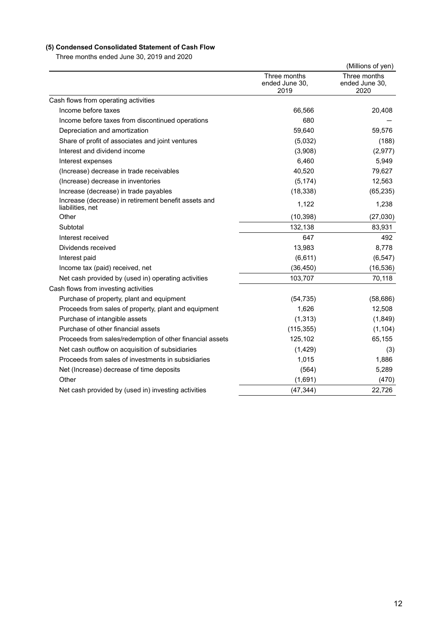# **(5) Condensed Consolidated Statement of Cash Flow**

Three months ended June 30, 2019 and 2020

|                                                                          |                                        | (Millions of yen)                      |
|--------------------------------------------------------------------------|----------------------------------------|----------------------------------------|
|                                                                          | Three months<br>ended June 30,<br>2019 | Three months<br>ended June 30,<br>2020 |
| Cash flows from operating activities                                     |                                        |                                        |
| Income before taxes                                                      | 66,566                                 | 20,408                                 |
| Income before taxes from discontinued operations                         | 680                                    |                                        |
| Depreciation and amortization                                            | 59,640                                 | 59,576                                 |
| Share of profit of associates and joint ventures                         | (5,032)                                | (188)                                  |
| Interest and dividend income                                             | (3,908)                                | (2,977)                                |
| Interest expenses                                                        | 6,460                                  | 5,949                                  |
| (Increase) decrease in trade receivables                                 | 40,520                                 | 79,627                                 |
| (Increase) decrease in inventories                                       | (5, 174)                               | 12,563                                 |
| Increase (decrease) in trade payables                                    | (18, 338)                              | (65, 235)                              |
| Increase (decrease) in retirement benefit assets and<br>liabilities, net | 1,122                                  | 1,238                                  |
| Other                                                                    | (10, 398)                              | (27,030)                               |
| Subtotal                                                                 | 132,138                                | 83,931                                 |
| Interest received                                                        | 647                                    | 492                                    |
| Dividends received                                                       | 13,983                                 | 8,778                                  |
| Interest paid                                                            | (6,611)                                | (6, 547)                               |
| Income tax (paid) received, net                                          | (36, 450)                              | (16, 536)                              |
| Net cash provided by (used in) operating activities                      | 103,707                                | 70,118                                 |
| Cash flows from investing activities                                     |                                        |                                        |
| Purchase of property, plant and equipment                                | (54, 735)                              | (58, 686)                              |
| Proceeds from sales of property, plant and equipment                     | 1,626                                  | 12,508                                 |
| Purchase of intangible assets                                            | (1, 313)                               | (1,849)                                |
| Purchase of other financial assets                                       | (115, 355)                             | (1, 104)                               |
| Proceeds from sales/redemption of other financial assets                 | 125,102                                | 65,155                                 |
| Net cash outflow on acquisition of subsidiaries                          | (1,429)                                | (3)                                    |
| Proceeds from sales of investments in subsidiaries                       | 1,015                                  | 1,886                                  |
| Net (Increase) decrease of time deposits                                 | (564)                                  | 5,289                                  |
| Other                                                                    | (1,691)                                | (470)                                  |
| Net cash provided by (used in) investing activities                      | (47, 344)                              | 22,726                                 |